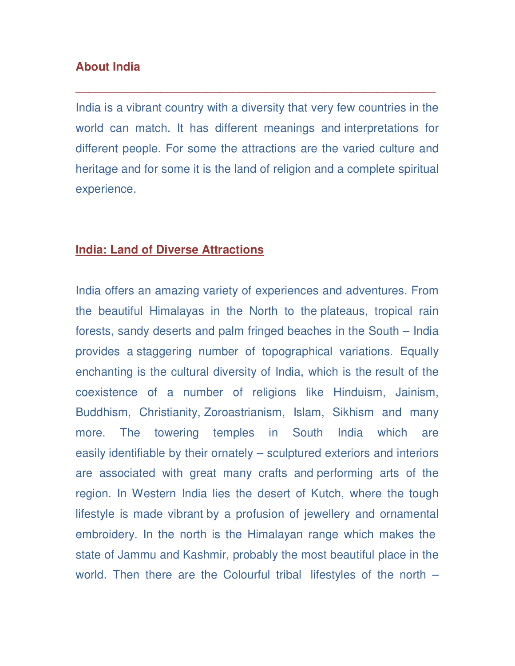## **About India**

India is a vibrant country with a diversity that very few countries in the world can match. It has different meanings and interpretations for different people. For some the attractions are the varied culture and heritage and for some it is the land of religion and a complete spiritual experience.

**\_\_\_\_\_\_\_\_\_\_\_\_\_\_\_\_\_\_\_\_\_\_\_\_\_\_\_\_\_\_\_\_\_\_\_\_\_\_\_\_\_\_\_\_\_\_\_\_\_\_\_\_\_\_\_** 

#### **India: Land of Diverse Attractions**

India offers an amazing variety of experiences and adventures. From the beautiful Himalayas in the North to the plateaus, tropical rain forests, sandy deserts and palm fringed beaches in the South – India provides a staggering number of topographical variations. Equally enchanting is the cultural diversity of India, which is the result of the coexistence of a number of religions like Hinduism, Jainism, Buddhism, Christianity, Zoroastrianism, Islam, Sikhism and many more. The towering temples in South India which are easily identifiable by their ornately – sculptured exteriors and interiors are associated with great many crafts and performing arts of the region. In Western India lies the desert of Kutch, where the tough lifestyle is made vibrant by a profusion of jewellery and ornamental embroidery. In the north is the Himalayan range which makes the state of Jammu and Kashmir, probably the most beautiful place in the world. Then there are the Colourful tribal lifestyles of the north –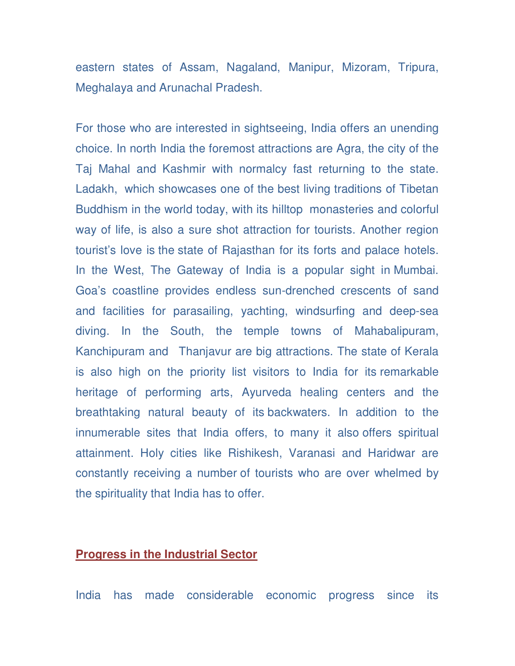eastern states of Assam, Nagaland, Manipur, Mizoram, Tripura, Meghalaya and Arunachal Pradesh.

For those who are interested in sightseeing, India offers an unending choice. In north India the foremost attractions are Agra, the city of the Taj Mahal and Kashmir with normalcy fast returning to the state. Ladakh, which showcases one of the best living traditions of Tibetan Buddhism in the world today, with its hilltop monasteries and colorful way of life, is also a sure shot attraction for tourists. Another region tourist's love is the state of Rajasthan for its forts and palace hotels. In the West, The Gateway of India is a popular sight in Mumbai. Goa's coastline provides endless sun-drenched crescents of sand and facilities for parasailing, yachting, windsurfing and deep-sea diving. In the South, the temple towns of Mahabalipuram, Kanchipuram and Thanjavur are big attractions. The state of Kerala is also high on the priority list visitors to India for its remarkable heritage of performing arts, Ayurveda healing centers and the breathtaking natural beauty of its backwaters. In addition to the innumerable sites that India offers, to many it also offers spiritual attainment. Holy cities like Rishikesh, Varanasi and Haridwar are constantly receiving a number of tourists who are over whelmed by the spirituality that India has to offer.

#### **Progress in the Industrial Sector**

India has made considerable economic progress since its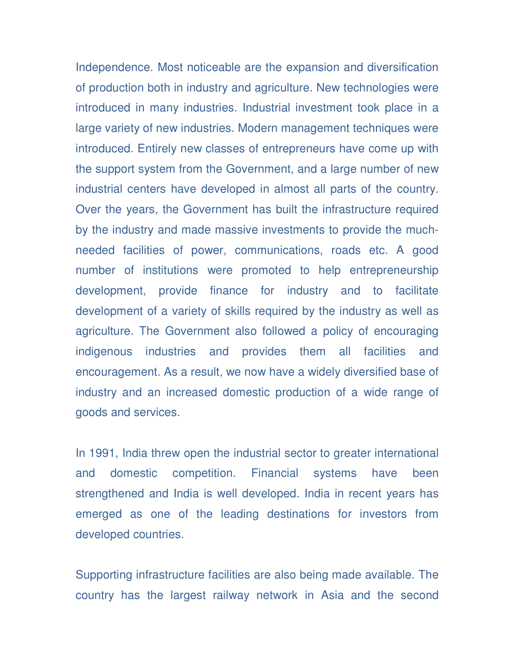Independence. Most noticeable are the expansion and diversification of production both in industry and agriculture. New technologies were introduced in many industries. Industrial investment took place in a large variety of new industries. Modern management techniques were introduced. Entirely new classes of entrepreneurs have come up with the support system from the Government, and a large number of new industrial centers have developed in almost all parts of the country. Over the years, the Government has built the infrastructure required by the industry and made massive investments to provide the muchneeded facilities of power, communications, roads etc. A good number of institutions were promoted to help entrepreneurship development, provide finance for industry and to facilitate development of a variety of skills required by the industry as well as agriculture. The Government also followed a policy of encouraging indigenous industries and provides them all facilities and encouragement. As a result, we now have a widely diversified base of industry and an increased domestic production of a wide range of goods and services.

In 1991, India threw open the industrial sector to greater international and domestic competition. Financial systems have been strengthened and India is well developed. India in recent years has emerged as one of the leading destinations for investors from developed countries.

Supporting infrastructure facilities are also being made available. The country has the largest railway network in Asia and the second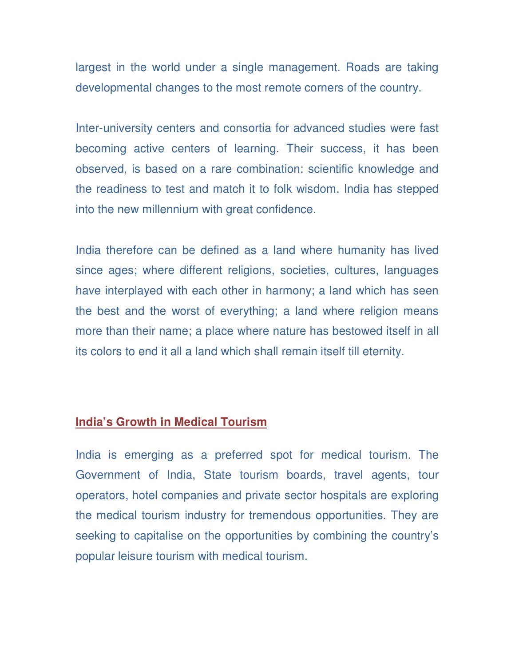largest in the world under a single management. Roads are taking developmental changes to the most remote corners of the country.

Inter-university centers and consortia for advanced studies were fast becoming active centers of learning. Their success, it has been observed, is based on a rare combination: scientific knowledge and the readiness to test and match it to folk wisdom. India has stepped into the new millennium with great confidence.

India therefore can be defined as a land where humanity has lived since ages; where different religions, societies, cultures, languages have interplayed with each other in harmony; a land which has seen the best and the worst of everything; a land where religion means more than their name; a place where nature has bestowed itself in all its colors to end it all a land which shall remain itself till eternity.

### **India's Growth in Medical Tourism**

India is emerging as a preferred spot for medical tourism. The Government of India, State tourism boards, travel agents, tour operators, hotel companies and private sector hospitals are exploring the medical tourism industry for tremendous opportunities. They are seeking to capitalise on the opportunities by combining the country's popular leisure tourism with medical tourism.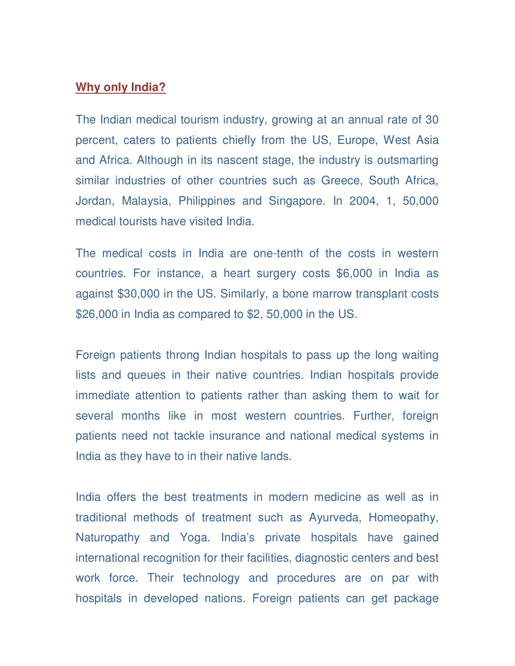### **Why only India?**

The Indian medical tourism industry, growing at an annual rate of 30 percent, caters to patients chiefly from the US, Europe, West Asia and Africa. Although in its nascent stage, the industry is outsmarting similar industries of other countries such as Greece, South Africa, Jordan, Malaysia, Philippines and Singapore. In 2004, 1, 50,000 medical tourists have visited India.

The medical costs in India are one-tenth of the costs in western countries. For instance, a heart surgery costs \$6,000 in India as against \$30,000 in the US. Similarly, a bone marrow transplant costs \$26,000 in India as compared to \$2, 50,000 in the US.

Foreign patients throng Indian hospitals to pass up the long waiting lists and queues in their native countries. Indian hospitals provide immediate attention to patients rather than asking them to wait for several months like in most western countries. Further, foreign patients need not tackle insurance and national medical systems in India as they have to in their native lands.

India offers the best treatments in modern medicine as well as in traditional methods of treatment such as Ayurveda, Homeopathy, Naturopathy and Yoga. India's private hospitals have gained international recognition for their facilities, diagnostic centers and best work force. Their technology and procedures are on par with hospitals in developed nations. Foreign patients can get package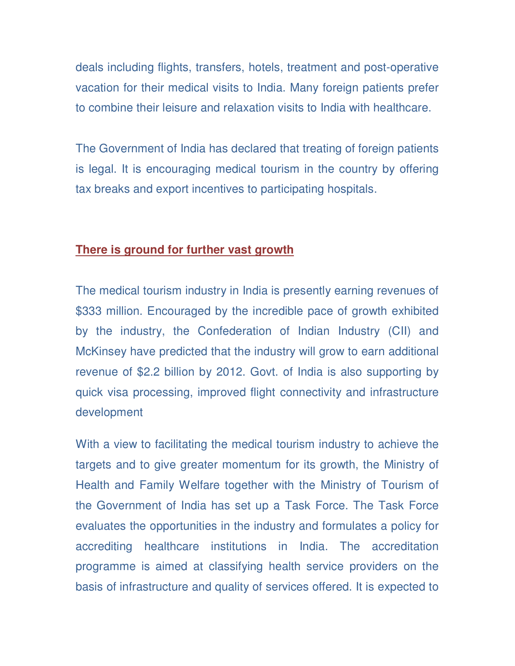deals including flights, transfers, hotels, treatment and post-operative vacation for their medical visits to India. Many foreign patients prefer to combine their leisure and relaxation visits to India with healthcare.

The Government of India has declared that treating of foreign patients is legal. It is encouraging medical tourism in the country by offering tax breaks and export incentives to participating hospitals.

# **There is ground for further vast growth**

The medical tourism industry in India is presently earning revenues of \$333 million. Encouraged by the incredible pace of growth exhibited by the industry, the Confederation of Indian Industry (CII) and McKinsey have predicted that the industry will grow to earn additional revenue of \$2.2 billion by 2012. Govt. of India is also supporting by quick visa processing, improved flight connectivity and infrastructure development

With a view to facilitating the medical tourism industry to achieve the targets and to give greater momentum for its growth, the Ministry of Health and Family Welfare together with the Ministry of Tourism of the Government of India has set up a Task Force. The Task Force evaluates the opportunities in the industry and formulates a policy for accrediting healthcare institutions in India. The accreditation programme is aimed at classifying health service providers on the basis of infrastructure and quality of services offered. It is expected to